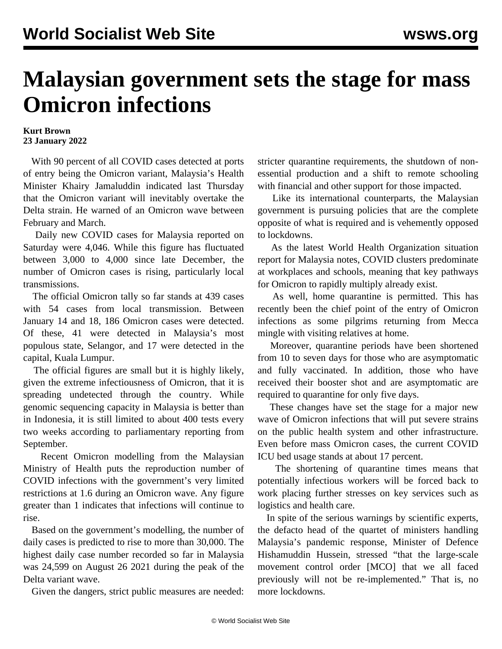## **Malaysian government sets the stage for mass Omicron infections**

## **Kurt Brown 23 January 2022**

 With 90 percent of all COVID cases detected at ports of entry being the Omicron variant, Malaysia's Health Minister Khairy Jamaluddin indicated last Thursday that the Omicron variant will inevitably overtake the Delta strain. He warned of an Omicron wave between February and March.

 Daily new COVID cases for Malaysia reported on Saturday were 4,046. While this figure has fluctuated between 3,000 to 4,000 since late December, the number of Omicron cases is rising, particularly local transmissions.

 The official Omicron tally so far stands at 439 cases with 54 cases from local transmission. Between January 14 and 18, 186 Omicron cases were detected. Of these, 41 were detected in Malaysia's most populous state, Selangor, and 17 were detected in the capital, Kuala Lumpur.

 The official figures are small but it is highly likely, given the extreme infectiousness of Omicron, that it is spreading undetected through the country. While genomic sequencing capacity in Malaysia is better than in Indonesia, it is still limited to about 400 tests every two weeks according to parliamentary reporting from September.

 Recent Omicron modelling from the Malaysian Ministry of Health puts the reproduction number of COVID infections with the government's very limited restrictions at 1.6 during an Omicron wave. Any figure greater than 1 indicates that infections will continue to rise.

 Based on the government's modelling, the number of daily cases is predicted to rise to more than 30,000. The highest daily case number recorded so far in Malaysia was 24,599 on August 26 2021 during the peak of the Delta variant wave.

Given the dangers, strict public measures are needed:

stricter quarantine requirements, the shutdown of nonessential production and a shift to remote schooling with financial and other support for those impacted.

 Like its international counterparts, the Malaysian government is pursuing policies that are the complete opposite of what is required and is vehemently opposed to lockdowns.

 As the latest World Health Organization situation report for Malaysia notes, COVID clusters predominate at workplaces and schools, meaning that key pathways for Omicron to rapidly multiply already exist.

 As well, home quarantine is permitted. This has recently been the chief point of the entry of Omicron infections as some pilgrims returning from Mecca mingle with visiting relatives at home.

 Moreover, quarantine periods have been shortened from 10 to seven days for those who are asymptomatic and fully vaccinated. In addition, those who have received their booster shot and are asymptomatic are required to quarantine for only five days.

 These changes have set the stage for a major new wave of Omicron infections that will put severe strains on the public health system and other infrastructure. Even before mass Omicron cases, the current COVID ICU bed usage stands at about 17 percent.

 The shortening of quarantine times means that potentially infectious workers will be forced back to work placing further stresses on key services such as logistics and health care.

 In spite of the serious warnings by scientific experts, the defacto head of the quartet of ministers handling Malaysia's pandemic response, Minister of Defence Hishamuddin Hussein, stressed "that the large-scale movement control order [MCO] that we all faced previously will not be re-implemented." That is, no more lockdowns.